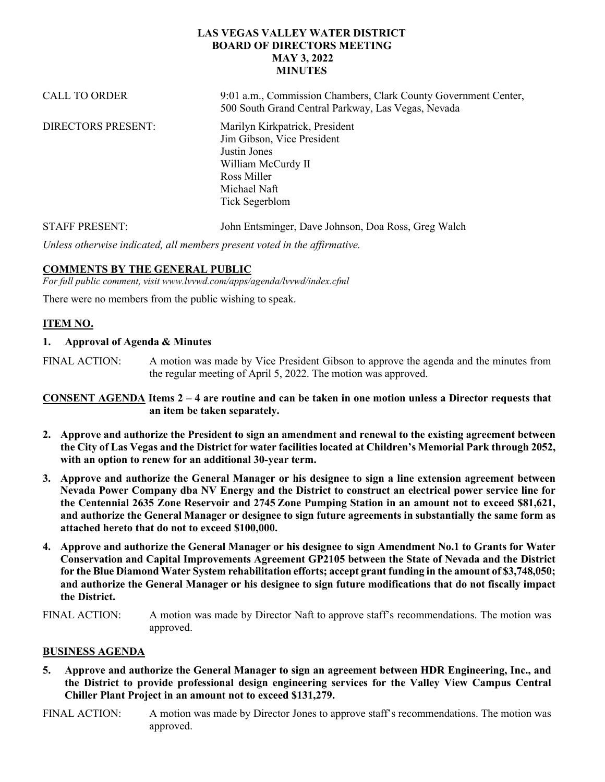## **LAS VEGAS VALLEY WATER DISTRICT BOARD OF DIRECTORS MEETING MAY 3, 2022 MINUTES**

| <b>CALL TO ORDER</b>      | 9:01 a.m., Commission Chambers, Clark County Government Center,<br>500 South Grand Central Parkway, Las Vegas, Nevada                               |
|---------------------------|-----------------------------------------------------------------------------------------------------------------------------------------------------|
| <b>DIRECTORS PRESENT:</b> | Marilyn Kirkpatrick, President<br>Jim Gibson, Vice President<br>Justin Jones<br>William McCurdy II<br>Ross Miller<br>Michael Naft<br>Tick Segerblom |
| <b>STAFF PRESENT:</b>     | John Entsminger, Dave Johnson, Doa Ross, Greg Walch                                                                                                 |

*Unless otherwise indicated, all members present voted in the affirmative.*

## **COMMENTS BY THE GENERAL PUBLIC**

*For full public comment, visit www.lvvwd.com/apps/agenda/lvvwd/index.cfml*

There were no members from the public wishing to speak.

## **ITEM NO.**

#### **1. Approval of Agenda & Minutes**

FINAL ACTION: A motion was made by Vice President Gibson to approve the agenda and the minutes from the regular meeting of April 5, 2022. The motion was approved.

**CONSENT AGENDA Items 2 – 4 are routine and can be taken in one motion unless a Director requests that an item be taken separately.**

- **2. Approve and authorize the President to sign an amendment and renewal to the existing agreement between the City of Las Vegas and the District for water facilities located at Children's Memorial Park through 2052, with an option to renew for an additional 30-year term.**
- **3. Approve and authorize the General Manager or his designee to sign a line extension agreement between Nevada Power Company dba NV Energy and the District to construct an electrical power service line for the Centennial 2635 Zone Reservoir and 2745 Zone Pumping Station in an amount not to exceed \$81,621, and authorize the General Manager or designee to sign future agreements in substantially the same form as attached hereto that do not to exceed \$100,000.**
- **4. Approve and authorize the General Manager or his designee to sign Amendment No.1 to Grants for Water Conservation and Capital Improvements Agreement GP2105 between the State of Nevada and the District for the Blue Diamond Water System rehabilitation efforts; accept grant funding in the amount of \$3,748,050; and authorize the General Manager or his designee to sign future modifications that do not fiscally impact the District.**
- FINAL ACTION: A motion was made by Director Naft to approve staff's recommendations. The motion was approved.

### **BUSINESS AGENDA**

- **5. Approve and authorize the General Manager to sign an agreement between HDR Engineering, Inc., and the District to provide professional design engineering services for the Valley View Campus Central Chiller Plant Project in an amount not to exceed \$131,279.**
- FINAL ACTION: A motion was made by Director Jones to approve staff's recommendations. The motion was approved.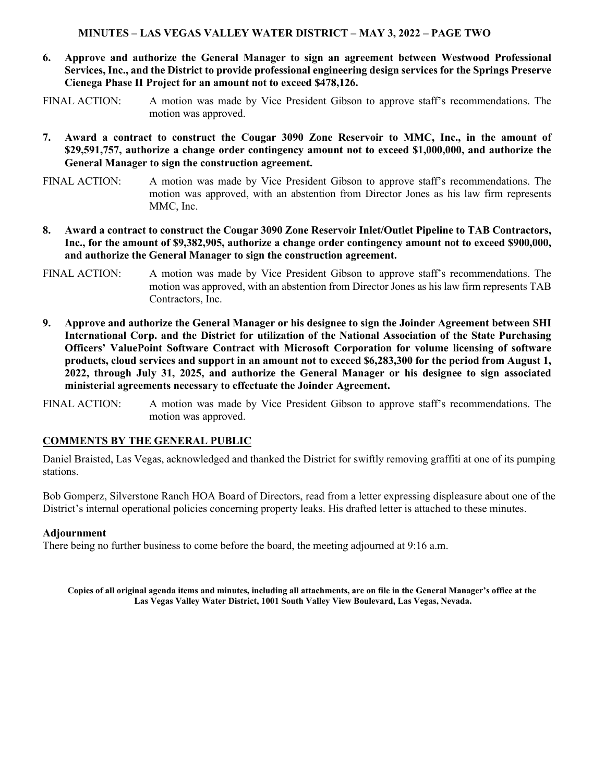### **MINUTES – LAS VEGAS VALLEY WATER DISTRICT – MAY 3, 2022 – PAGE TWO**

**6. Approve and authorize the General Manager to sign an agreement between Westwood Professional Services, Inc., and the District to provide professional engineering design services for the Springs Preserve Cienega Phase II Project for an amount not to exceed \$478,126.**

FINAL ACTION: A motion was made by Vice President Gibson to approve staff's recommendations. The motion was approved.

- **7. Award a contract to construct the Cougar 3090 Zone Reservoir to MMC, Inc., in the amount of \$29,591,757, authorize a change order contingency amount not to exceed \$1,000,000, and authorize the General Manager to sign the construction agreement.**
- FINAL ACTION: A motion was made by Vice President Gibson to approve staff's recommendations. The motion was approved, with an abstention from Director Jones as his law firm represents MMC, Inc.
- **8. Award a contract to construct the Cougar 3090 Zone Reservoir Inlet/Outlet Pipeline to TAB Contractors, Inc., for the amount of \$9,382,905, authorize a change order contingency amount not to exceed \$900,000, and authorize the General Manager to sign the construction agreement.**
- FINAL ACTION: A motion was made by Vice President Gibson to approve staff's recommendations. The motion was approved, with an abstention from Director Jones as his law firm represents TAB Contractors, Inc.
- **9. Approve and authorize the General Manager or his designee to sign the Joinder Agreement between SHI International Corp. and the District for utilization of the National Association of the State Purchasing Officers' ValuePoint Software Contract with Microsoft Corporation for volume licensing of software products, cloud services and support in an amount not to exceed \$6,283,300 for the period from August 1, 2022, through July 31, 2025, and authorize the General Manager or his designee to sign associated ministerial agreements necessary to effectuate the Joinder Agreement.**

FINAL ACTION: A motion was made by Vice President Gibson to approve staff's recommendations. The motion was approved.

### **COMMENTS BY THE GENERAL PUBLIC**

Daniel Braisted, Las Vegas, acknowledged and thanked the District for swiftly removing graffiti at one of its pumping stations.

Bob Gomperz, Silverstone Ranch HOA Board of Directors, read from a letter expressing displeasure about one of the District's internal operational policies concerning property leaks. His drafted letter is attached to these minutes.

#### **Adjournment**

There being no further business to come before the board, the meeting adjourned at 9:16 a.m.

**Copies of all original agenda items and minutes, including all attachments, are on file in the General Manager's office at the Las Vegas Valley Water District, 1001 South Valley View Boulevard, Las Vegas, Nevada.**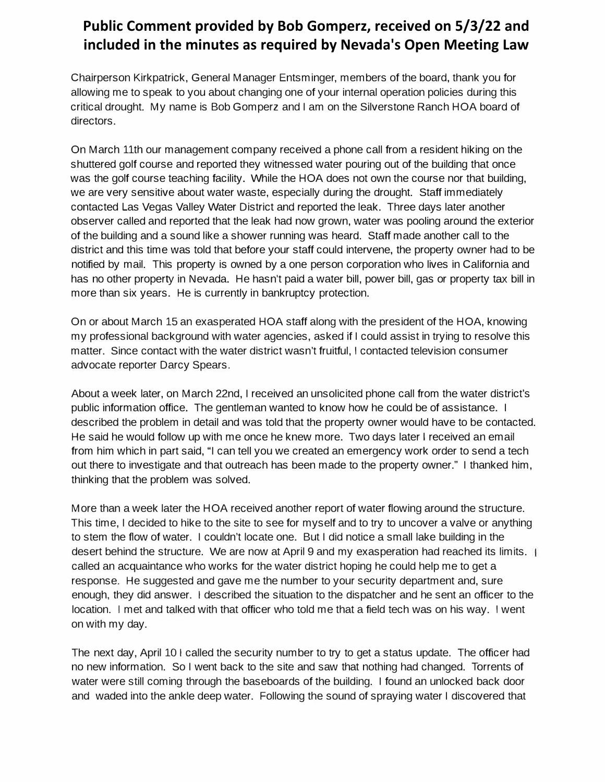# **Public Comment provided by Bob Gomperz, received on 5/3/22 and included in the minutes as required by Nevada's Open Meeting Law**

Chairperson Kirkpatrick, General Manager Entsminger, members of the board, thank you for allowing me to speak to you about changing one of your internal operation policies during this critical drought. My name is Bob Gomperz and I am on the Silverstone Ranch HOA board of directors.

On March 11th our management company received a phone call from a resident hiking on the shuttered golf course and reported they witnessed water pouring out of the building that once was the golf course teaching facility. While the HOA does not own the course nor that building, we are very sensitive about water waste, especially during the drought. Staff immediately contacted Las Vegas Valley Water District and reported the leak. Three days later another observer called and reported that the leak had now grown, water was pooling around the exterior of the building and a sound like a shower running was heard. Staff made another call to the district and this time was told that before your staff could intervene, the property owner had to be notified by mail. This property is owned by a one person corporation who lives in California and has no other property in Nevada. He hasn't paid a water bill, power bill, gas or property tax bill in more than six years. He is currently in bankruptcy protection.

On or about March 15 an exasperated HOA staff along with the president of the HOA, knowing my professional background with water agencies, asked if I could assist in trying to resolve this matter. Since contact with the water district wasn't fruitful, I contacted television consumer advocate reporter Darcy Spears.

About a week later, on March 22nd, I received an unsolicited phone call from the water district's public information office. The gentleman wanted to know how he could be of assistance. I described the problem in detail and was told that the property owner would have to be contacted. He said he would follow up with me once he knew more. Two days later I received an email from him which in part said, "I can tell you we created an emergency work order to send a tech out there to investigate and that outreach has been made to the property owner." I thanked him, thinking that the problem was solved.

More than a week later the HOA received another report of water flowing around the structure. This time, I decided to hike to the site to see for myself and to try to uncover a valve or anything to stem the flow of water. I couldn't locate one. But I did notice a small lake building in the desert behind the structure. We are now at April 9 and my exasperation had reached its limits. called an acquaintance who works for the water district hoping he could help me to get a response. He suggested and gave me the number to your security department and, sure enough, they did answer. I described the situation to the dispatcher and he sent an officer to the location. I met and talked with that officer who told me that a field tech was on his way. I went on with my day.

The next day, April 10 I called the security number to try to get a status update. The officer had no new information. So I went back to the site and saw that nothing had changed. Torrents of water were still coming through the baseboards of the building. I found an unlocked back door and waded into the ankle deep water. Following the sound of spraying water I discovered that